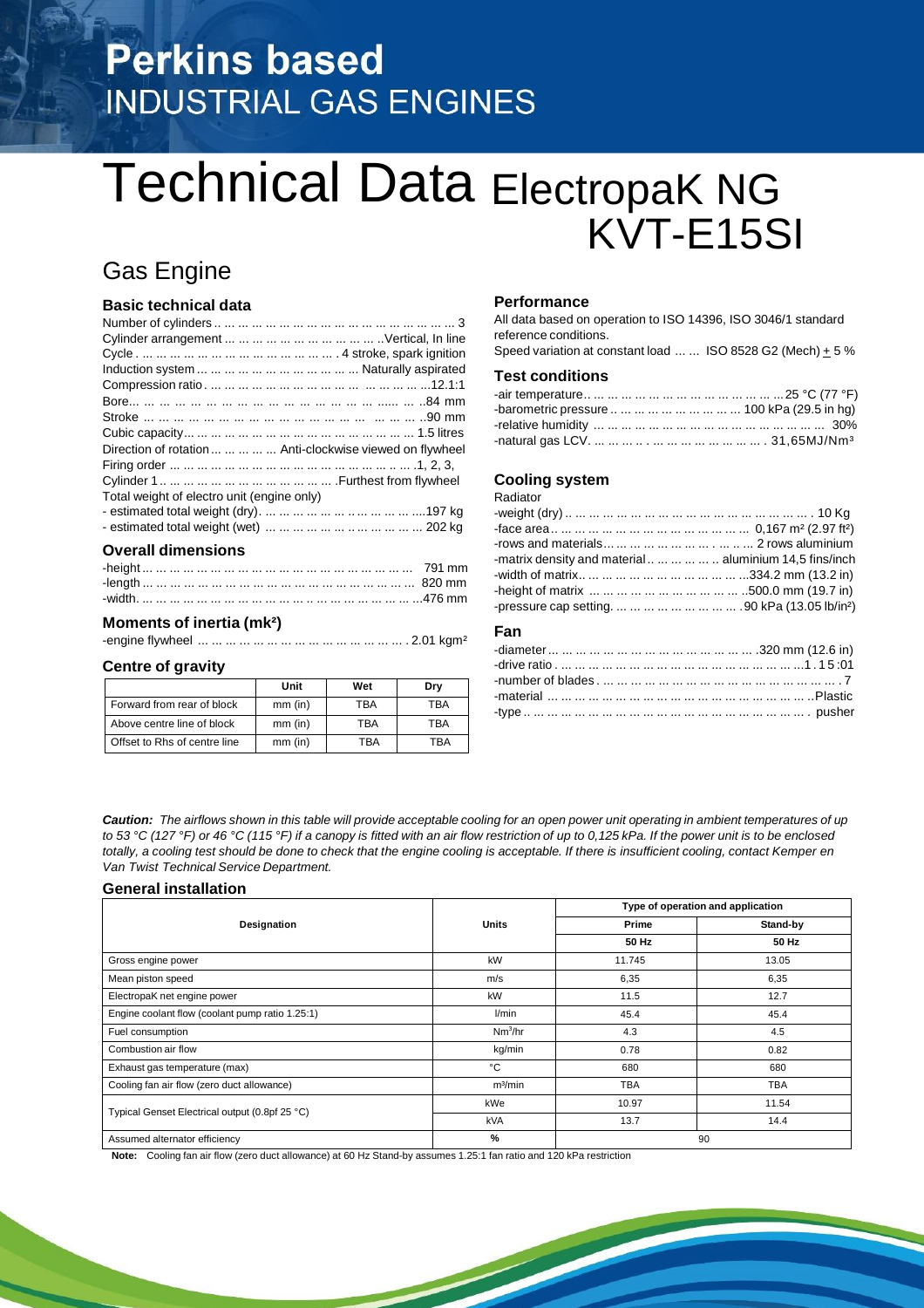# **Perkins based INDUSTRIAL GAS ENGINES**

# Technical Data ElectropaK NG KVT-E15SI

# Gas Engine

# **Basic technical data**

| Direction of rotation      Anti-clockwise viewed on flywheel |
|--------------------------------------------------------------|
|                                                              |
|                                                              |
| Total weight of electro unit (engine only)                   |
|                                                              |
|                                                              |
|                                                              |

# **Overall dimensions**

## **Moments of inertia (mk²)**

-engine flywheel ... ... ... ... ... ... ... ... ... ... ... ... ... ... ... . 2.01 kgm²

### **Centre of gravity**

|                              | Unit      | Wet | Drv |
|------------------------------|-----------|-----|-----|
| Forward from rear of block   | $mm$ (in) | TBA | TBA |
| Above centre line of block   | $mm$ (in) | TBA | TBA |
| Offset to Rhs of centre line | $mm$ (in) | TRA | TRA |

## **Performance**

All data based on operation to ISO 14396, ISO 3046/1 standard reference conditions.

Speed variation at constant load ... ... ISO 8528 G2 (Mech)  $\pm$  5 %

# **Test conditions**

| -barometric pressure          100 kPa (29.5 in hg) |  |
|----------------------------------------------------|--|
|                                                    |  |
|                                                    |  |

### **Cooling system**

Radiator

| -matrix density and material       aluminium 14.5 fins/inch |  |
|-------------------------------------------------------------|--|
|                                                             |  |
|                                                             |  |
|                                                             |  |

## **Fan**

Caution: The airflows shown in this table will provide acceptable cooling for an open power unit operating in ambient temperatures of up to 53 °C (127 °F) or 46 °C (115 °F) if a canopy is fitted with an air flow restriction of up to 0,125 kPa. If the power unit is to be enclosed totally, a cooling test should be done to check that the engine cooling is acceptable. If there is insufficient cooling, contact Kemper en *Van Twist Technical Service Department.*

### **General installation**

|                                                 |                     | Type of operation and application |            |
|-------------------------------------------------|---------------------|-----------------------------------|------------|
| Designation                                     | <b>Units</b>        | Prime                             | Stand-by   |
|                                                 |                     | 50 Hz                             | 50 Hz      |
| Gross engine power                              | kW                  | 11.745                            | 13.05      |
| Mean piston speed                               | m/s                 | 6,35                              | 6,35       |
| ElectropaK net engine power                     | kW                  | 11.5                              | 12.7       |
| Engine coolant flow (coolant pump ratio 1.25:1) | l/min               | 45.4                              | 45.4       |
| Fuel consumption                                | Nm <sup>3</sup> /hr | 4.3                               | 4.5        |
| Combustion air flow                             | kg/min              | 0.78                              | 0.82       |
| Exhaust gas temperature (max)                   | °€                  | 680                               | 680        |
| Cooling fan air flow (zero duct allowance)      | m <sup>3</sup> /min | <b>TBA</b>                        | <b>TBA</b> |
| Typical Genset Electrical output (0.8pf 25 °C)  | kWe                 | 10.97                             | 11.54      |
|                                                 | kVA                 | 13.7                              | 14.4       |
| Assumed alternator efficiency                   | %                   | 90                                |            |

**Note:** Cooling fan air flow (zero duct allowance) at 60 Hz Stand-by assumes 1.25:1 fan ratio and 120 kPa restriction